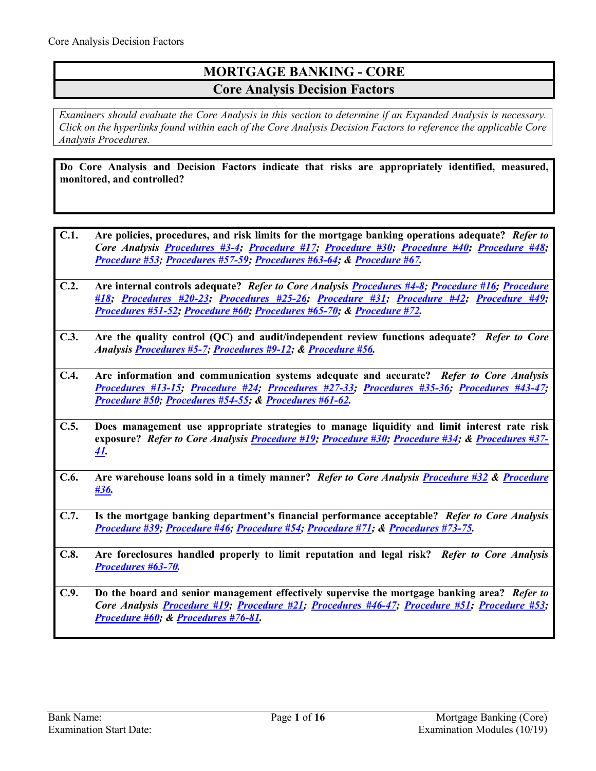# **MORTGAGE BANKING - CORE Core Analysis Decision Factors**

*Examiners should evaluate the Core Analysis in this section to determine if an Expanded Analysis is necessary. Click on the hyperlinks found within each of the Core Analysis Decision Factors to reference the applicable Core Analysis Procedures.*

**Do Core Analysis and Decision Factors indicate that risks are appropriately identified, measured, monitored, and controlled?**

- **C.1. Are policies, procedures, and risk limits for the mortgage banking operations adequate?** *Refer to Core Analysis [Procedures #3-4;](#page-2-0) [Procedure #17;](#page-4-0) [Procedure #30;](#page-7-0) [Procedure #40;](#page-8-0) [Procedure #48;](#page-10-0) [Procedure #53;](#page-10-1) [Procedures #57-59;](#page-11-0) [Procedures #63-64;](#page-12-0) & [Procedure #67.](#page-13-0)*
- **C.2. Are internal controls adequate?** *Refer to Core Analysis [Procedures #4-8;](#page-2-1) [Procedure #16;](#page-4-1) [Procedure](#page-5-0)  [#18;](#page-5-0) [Procedures #20-23;](#page-5-1) [Procedures #25-26;](#page-6-0) [Procedure #31;](#page-7-1) [Procedure #42;](#page-8-1) [Procedure #49;](#page-10-2) [Procedures #51-52;](#page-10-3) [Procedure #60;](#page-12-1) [Procedures #65-70;](#page-13-1) & [Procedure #72.](#page-14-0)*
- **C.3. Are the quality control (QC) and audit/independent review functions adequate?** *Refer to Core Analysi[s Procedures #5-7;](#page-2-2) [Procedures #9-12;](#page-3-0) & [Procedure #56.](#page-11-1)*
- **C.4. Are information and communication systems adequate and accurate?** *Refer to Core Analysis [Procedures #13-15;](#page-4-2) [Procedure #24;](#page-6-1) [Procedures #27-33;](#page-6-2) [Procedures #35-36;](#page-7-2) [Procedures #43-47;](#page-9-0) [Procedure #50;](#page-10-4) [Procedures #54-55;](#page-10-5) & [Procedures #61-62.](#page-12-2)*
- **C.5. Does management use appropriate strategies to manage liquidity and limit interest rate risk exposure?** *Refer to Core Analysis [Procedure #19;](#page-5-2) [Procedure #30;](#page-7-0) [Procedure #34;](#page-7-3) & [Procedures #37-](#page-8-2) [41.](#page-8-2)*
- **C.6. Are warehouse loans sold in a timely manner?** *Refer to Core Analysis [Procedure #32](#page-7-4) & [Procedure](#page-8-3)  [#36.](#page-8-3)*
- **C.7. Is the mortgage banking department's financial performance acceptable?** *Refer to Core Analysis [Procedure #39;](#page-8-4) [Procedure #46;](#page-9-1) [Procedure #54;](#page-10-5) [Procedure #71;](#page-14-1) & [Procedures #73-75.](#page-14-2)*
- **C.8. Are foreclosures handled properly to limit reputation and legal risk?** *Refer to Core Analysis [Procedures #63-70.](#page-12-0)*
- **C.9. Do the board and senior management effectively supervise the mortgage banking area?** *Refer to Core Analysis [Procedure #19;](#page-5-2) [Procedure #21;](#page-5-3) [Procedures #46-47;](#page-9-1) [Procedure #51;](#page-10-3) [Procedure #53;](#page-10-1) [Procedure #60;](#page-12-1) & [Procedures #76-81.](#page-15-0)*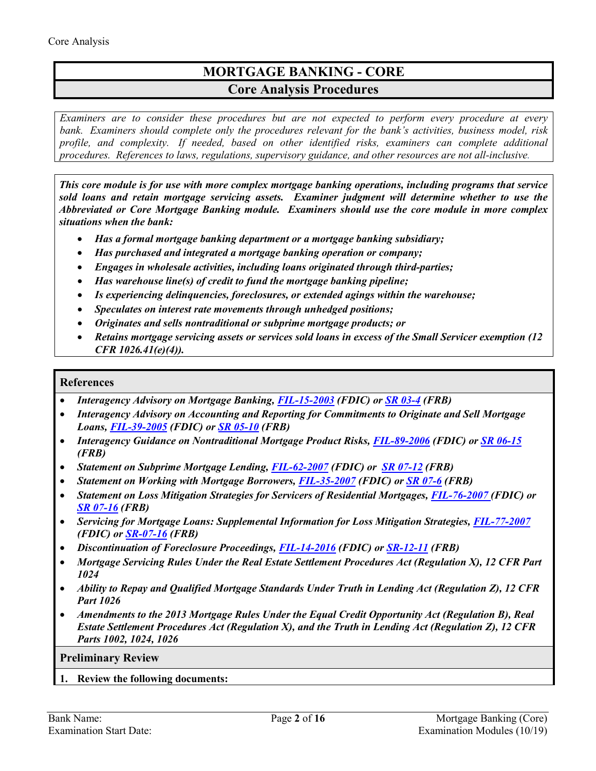# **MORTGAGE BANKING - CORE Core Analysis Procedures**

*Examiners are to consider these procedures but are not expected to perform every procedure at every bank. Examiners should complete only the procedures relevant for the bank's activities, business model, risk profile, and complexity. If needed, based on other identified risks, examiners can complete additional procedures. References to laws, regulations, supervisory guidance, and other resources are not all-inclusive.*

*This core module is for use with more complex mortgage banking operations, including programs that service sold loans and retain mortgage servicing assets. Examiner judgment will determine whether to use the Abbreviated or Core Mortgage Banking module. Examiners should use the core module in more complex situations when the bank:*

- *Has a formal mortgage banking department or a mortgage banking subsidiary;*
- *Has purchased and integrated a mortgage banking operation or company;*
- *Engages in wholesale activities, including loans originated through third-parties;*
- *Has warehouse line(s) of credit to fund the mortgage banking pipeline;*
- *Is experiencing delinquencies, foreclosures, or extended agings within the warehouse;*
- *Speculates on interest rate movements through unhedged positions;*
- *Originates and sells nontraditional or subprime mortgage products; or*
- *Retains mortgage servicing assets or services sold loans in excess of the Small Servicer exemption (12 CFR 1026.41(e)(4)).*

### **References**

- *Interagency Advisory on Mortgage Banking, [FIL-15-2003](https://www.fdic.gov/news/news/financial/2003/fil0315.html) (FDIC) or [SR 03-4](https://www.federalreserve.gov/boarddocs/srletters/2003/sr0304.htm) (FRB)*
- *Interagency Advisory on Accounting and Reporting for Commitments to Originate and Sell Mortgage Loans, [FIL-39-2005](https://www.fdic.gov/news/news/financial/2005/fil3905.html) (FDIC) or [SR 05-10](https://www.federalreserve.gov/boarddocs/srletters/2005/SR0510.htm) (FRB)*
- *Interagency Guidance on Nontraditional Mortgage Product Risks, [FIL-89-2006](https://www.fdic.gov/news/news/financial/2006/fil06089.html) (FDIC) or [SR 06-15](https://www.federalreserve.gov/boarddocs/srletters/2006/SR0615.htm) (FRB)*
- *Statement on Subprime Mortgage Lending[, FIL-62-2007](https://www.fdic.gov/news/news/financial/2007/fil07062.html) (FDIC) or [SR 07-12](https://www.federalreserve.gov/boarddocs/srletters/2007/SR0712.htm) (FRB)*
- *Statement on Working with Mortgage Borrowers, [FIL-35-2007](https://www.fdic.gov/news/news/financial/2007/fil07035.html) (FDIC) or [SR 07-6](https://www.federalreserve.gov/boarddocs/srletters/2007/SR0706.htm) (FRB)*
- *Statement on Loss Mitigation Strategies for Servicers of Residential Mortgages, [FIL-76-2007](https://www.fdic.gov/news/news/financial/2007/fil07076.html) (FDIC) or [SR 07-16](https://www.federalreserve.gov/boarddocs/srletters/2007/SR0716.htm) (FRB)*
- *Servicing for Mortgage Loans: Supplemental Information for Loss Mitigation Strategies, [FIL-77-2007](https://www.fdic.gov/news/news/financial/2007/fil07077.html) (FDIC) or [SR-07-16](https://www.federalreserve.gov/boarddocs/srletters/2007/SR0716.htm) (FRB)*
- *Discontinuation of Foreclosure Proceedings, [FIL-14-2016](https://www.fdic.gov/news/news/financial/2016/fil16014.html) (FDIC) or [SR-12-11](https://www.federalreserve.gov/supervisionreg/srletters/SR1211.htm) (FRB)*
- *Mortgage Servicing Rules Under the Real Estate Settlement Procedures Act (Regulation X), 12 CFR Part 1024*
- *Ability to Repay and Qualified Mortgage Standards Under Truth in Lending Act (Regulation Z), 12 CFR Part 1026*
- *Amendments to the 2013 Mortgage Rules Under the Equal Credit Opportunity Act (Regulation B), Real Estate Settlement Procedures Act (Regulation X), and the Truth in Lending Act (Regulation Z), 12 CFR Parts 1002, 1024, 1026*

**Preliminary Review**

**1. Review the following documents:**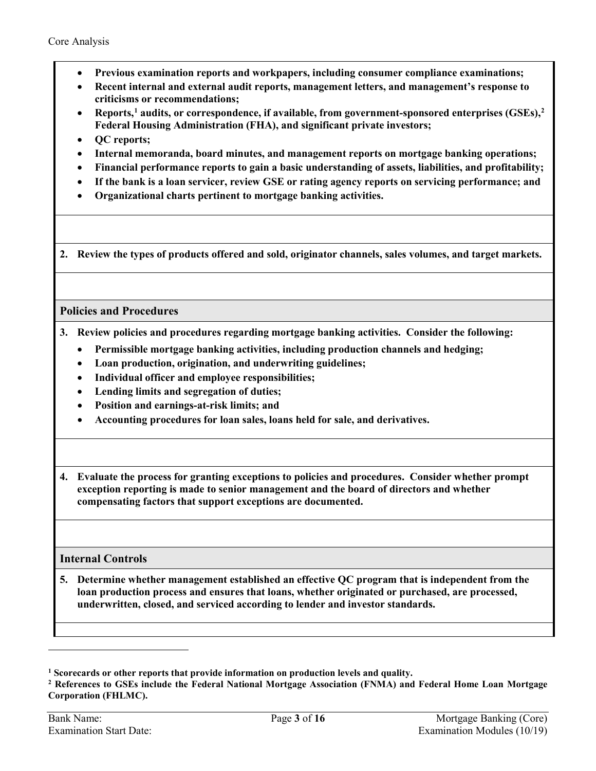- **Previous examination reports and workpapers, including consumer compliance examinations;**
- **Recent internal and external audit reports, management letters, and management's response to criticisms or recommendations;**
- **Reports, [1](#page-2-3) audits, or correspondence, if available, from government-sponsored enterprises (GSEs), [2](#page-2-4) Federal Housing Administration (FHA), and significant private investors;**
- **QC reports;**
- **Internal memoranda, board minutes, and management reports on mortgage banking operations;**
- **Financial performance reports to gain a basic understanding of assets, liabilities, and profitability;**
- **If the bank is a loan servicer, review GSE or rating agency reports on servicing performance; and**
- **Organizational charts pertinent to mortgage banking activities.**

**2. Review the types of products offered and sold, originator channels, sales volumes, and target markets.**

## **Policies and Procedures**

- <span id="page-2-0"></span>**3. Review policies and procedures regarding mortgage banking activities. Consider the following:**
	- **Permissible mortgage banking activities, including production channels and hedging;**
	- **Loan production, origination, and underwriting guidelines;**
	- **Individual officer and employee responsibilities;**
	- **Lending limits and segregation of duties;**
	- **Position and earnings-at-risk limits; and**
	- **Accounting procedures for loan sales, loans held for sale, and derivatives.**
- <span id="page-2-1"></span>**4. Evaluate the process for granting exceptions to policies and procedures. Consider whether prompt exception reporting is made to senior management and the board of directors and whether compensating factors that support exceptions are documented.**

## **Internal Controls**

<span id="page-2-2"></span>**5. Determine whether management established an effective QC program that is independent from the loan production process and ensures that loans, whether originated or purchased, are processed, underwritten, closed, and serviced according to lender and investor standards.**

<span id="page-2-3"></span>**<sup>1</sup> Scorecards or other reports that provide information on production levels and quality.**

<span id="page-2-4"></span>**<sup>2</sup> References to GSEs include the Federal National Mortgage Association (FNMA) and Federal Home Loan Mortgage Corporation (FHLMC).**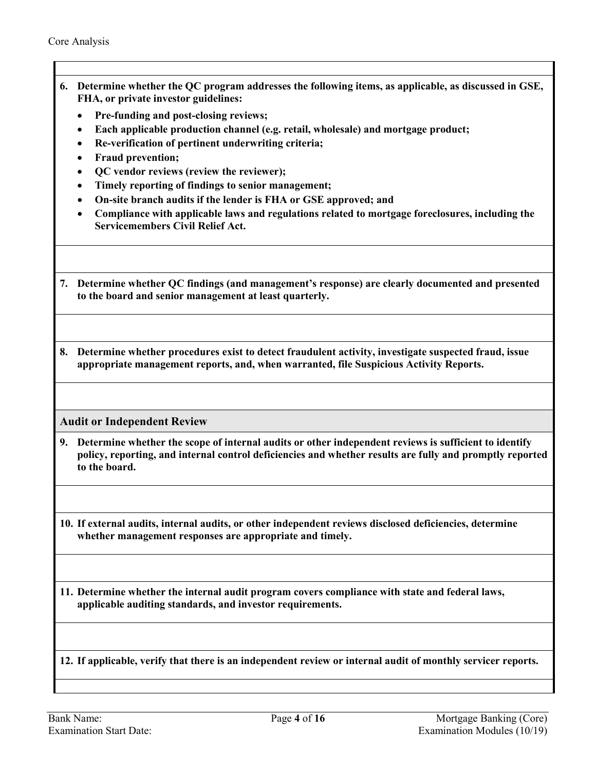- **6. Determine whether the QC program addresses the following items, as applicable, as discussed in GSE, FHA, or private investor guidelines:** 
	- **Pre-funding and post-closing reviews;**
	- **Each applicable production channel (e.g. retail, wholesale) and mortgage product;**
	- **Re-verification of pertinent underwriting criteria;**
	- **Fraud prevention;**
	- **QC vendor reviews (review the reviewer);**
	- **Timely reporting of findings to senior management;**
	- **On-site branch audits if the lender is FHA or GSE approved; and**
	- **Compliance with applicable laws and regulations related to mortgage foreclosures, including the Servicemembers Civil Relief Act.**
- **7. Determine whether QC findings (and management's response) are clearly documented and presented to the board and senior management at least quarterly.**
- **8. Determine whether procedures exist to detect fraudulent activity, investigate suspected fraud, issue appropriate management reports, and, when warranted, file Suspicious Activity Reports.**

**Audit or Independent Review**

- <span id="page-3-0"></span>**9. Determine whether the scope of internal audits or other independent reviews is sufficient to identify policy, reporting, and internal control deficiencies and whether results are fully and promptly reported to the board.**
- **10. If external audits, internal audits, or other independent reviews disclosed deficiencies, determine whether management responses are appropriate and timely.**
- **11. Determine whether the internal audit program covers compliance with state and federal laws, applicable auditing standards, and investor requirements.**

**12. If applicable, verify that there is an independent review or internal audit of monthly servicer reports.**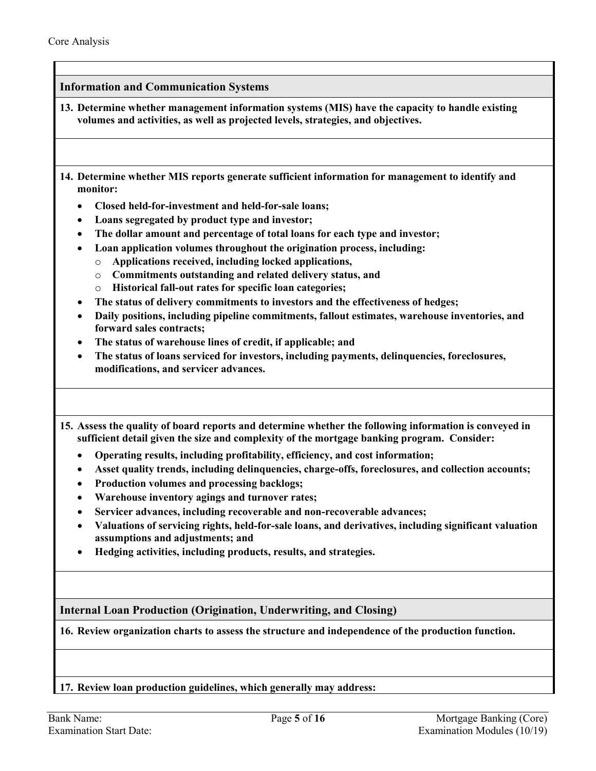<span id="page-4-2"></span>**Information and Communication Systems 13. Determine whether management information systems (MIS) have the capacity to handle existing volumes and activities, as well as projected levels, strategies, and objectives. 14. Determine whether MIS reports generate sufficient information for management to identify and monitor:**  • **Closed held-for-investment and held-for-sale loans;**  • **Loans segregated by product type and investor;**  • **The dollar amount and percentage of total loans for each type and investor;**  • **Loan application volumes throughout the origination process, including:**  o **Applications received, including locked applications,**  o **Commitments outstanding and related delivery status, and**  o **Historical fall-out rates for specific loan categories;**  • **The status of delivery commitments to investors and the effectiveness of hedges;**  • **Daily positions, including pipeline commitments, fallout estimates, warehouse inventories, and forward sales contracts;**  • **The status of warehouse lines of credit, if applicable; and** • **The status of loans serviced for investors, including payments, delinquencies, foreclosures, modifications, and servicer advances. 15. Assess the quality of board reports and determine whether the following information is conveyed in sufficient detail given the size and complexity of the mortgage banking program. Consider:**  • **Operating results, including profitability, efficiency, and cost information;**  • **Asset quality trends, including delinquencies, charge-offs, foreclosures, and collection accounts;**  • **Production volumes and processing backlogs;**  • **Warehouse inventory agings and turnover rates;**  • **Servicer advances, including recoverable and non-recoverable advances;**  • **Valuations of servicing rights, held-for-sale loans, and derivatives, including significant valuation assumptions and adjustments; and** • **Hedging activities, including products, results, and strategies. Internal Loan Production (Origination, Underwriting, and Closing) 16. Review organization charts to assess the structure and independence of the production function.** 

<span id="page-4-1"></span><span id="page-4-0"></span>**17. Review loan production guidelines, which generally may address:**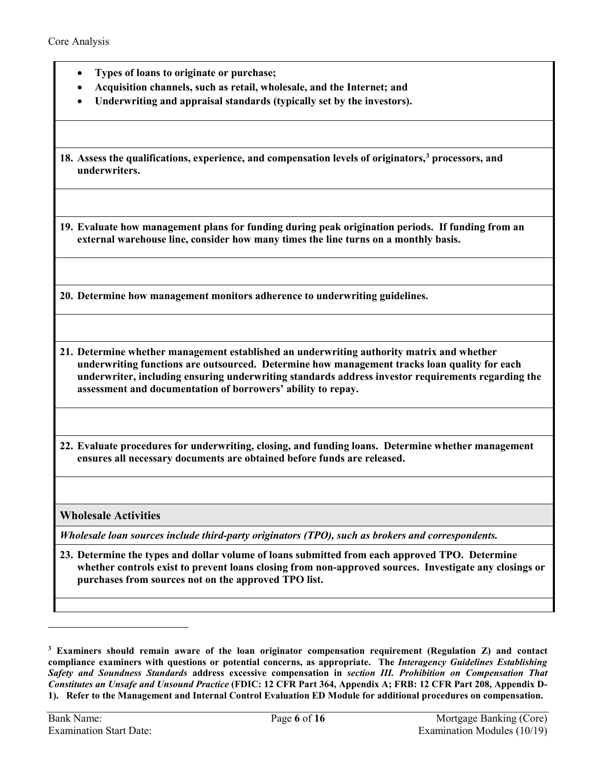- **Types of loans to originate or purchase;**
- **Acquisition channels, such as retail, wholesale, and the Internet; and**
- **Underwriting and appraisal standards (typically set by the investors).**

<span id="page-5-0"></span>**18. Assess the qualifications, experience, and compensation levels of originators, [3](#page-5-4) processors, and underwriters.**

<span id="page-5-2"></span>**19. Evaluate how management plans for funding during peak origination periods. If funding from an external warehouse line, consider how many times the line turns on a monthly basis.** 

<span id="page-5-1"></span>**20. Determine how management monitors adherence to underwriting guidelines.**

<span id="page-5-3"></span>**21. Determine whether management established an underwriting authority matrix and whether underwriting functions are outsourced. Determine how management tracks loan quality for each underwriter, including ensuring underwriting standards address investor requirements regarding the assessment and documentation of borrowers' ability to repay.** 

**22. Evaluate procedures for underwriting, closing, and funding loans. Determine whether management ensures all necessary documents are obtained before funds are released.**

**Wholesale Activities**

*Wholesale loan sources include third-party originators (TPO), such as brokers and correspondents.*

**23. Determine the types and dollar volume of loans submitted from each approved TPO. Determine whether controls exist to prevent loans closing from non-approved sources. Investigate any closings or purchases from sources not on the approved TPO list.**

<span id="page-5-4"></span>**<sup>3</sup> Examiners should remain aware of the loan originator compensation requirement (Regulation Z) and contact compliance examiners with questions or potential concerns, as appropriate. The** *Interagency Guidelines Establishing Safety and Soundness Standards* **address excessive compensation in** *section III. Prohibition on Compensation That Constitutes an Unsafe and Unsound Practice* **(FDIC: 12 CFR Part 364, Appendix A; FRB: 12 CFR Part 208, Appendix D-1). Refer to the Management and Internal Control Evaluation ED Module for additional procedures on compensation.**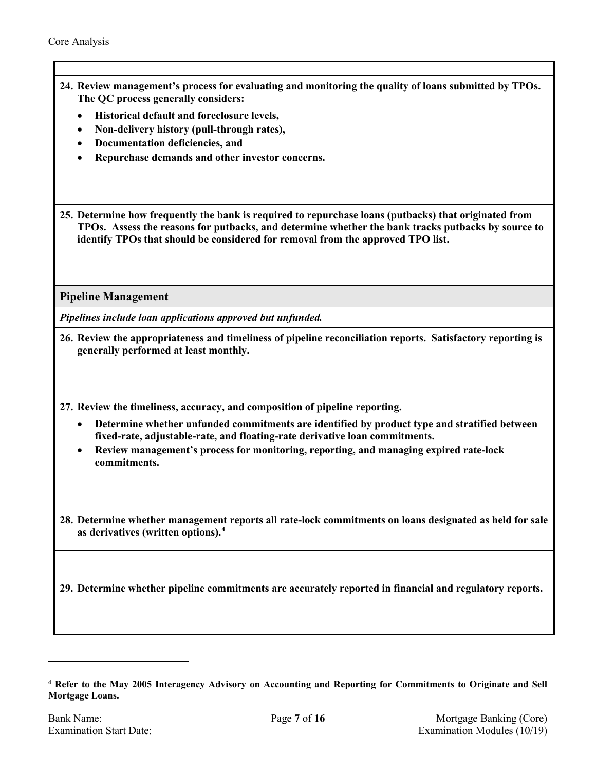- <span id="page-6-1"></span>**24. Review management's process for evaluating and monitoring the quality of loans submitted by TPOs. The QC process generally considers:** 
	- **Historical default and foreclosure levels,**
	- **Non-delivery history (pull-through rates),**
	- **Documentation deficiencies, and**
	- **Repurchase demands and other investor concerns.**

<span id="page-6-0"></span>**25. Determine how frequently the bank is required to repurchase loans (putbacks) that originated from TPOs. Assess the reasons for putbacks, and determine whether the bank tracks putbacks by source to identify TPOs that should be considered for removal from the approved TPO list.** 

**Pipeline Management** 

*Pipelines include loan applications approved but unfunded.*

**26. Review the appropriateness and timeliness of pipeline reconciliation reports. Satisfactory reporting is generally performed at least monthly.** 

<span id="page-6-2"></span>**27. Review the timeliness, accuracy, and composition of pipeline reporting.**

- **Determine whether unfunded commitments are identified by product type and stratified between fixed-rate, adjustable-rate, and floating-rate derivative loan commitments.**
- **Review management's process for monitoring, reporting, and managing expired rate-lock commitments.**

**28. Determine whether management reports all rate-lock commitments on loans designated as held for sale as derivatives (written options). [4](#page-6-3)** 

**29. Determine whether pipeline commitments are accurately reported in financial and regulatory reports.**

<span id="page-6-3"></span>**<sup>4</sup> Refer to the May 2005 Interagency Advisory on Accounting and Reporting for Commitments to Originate and Sell Mortgage Loans.**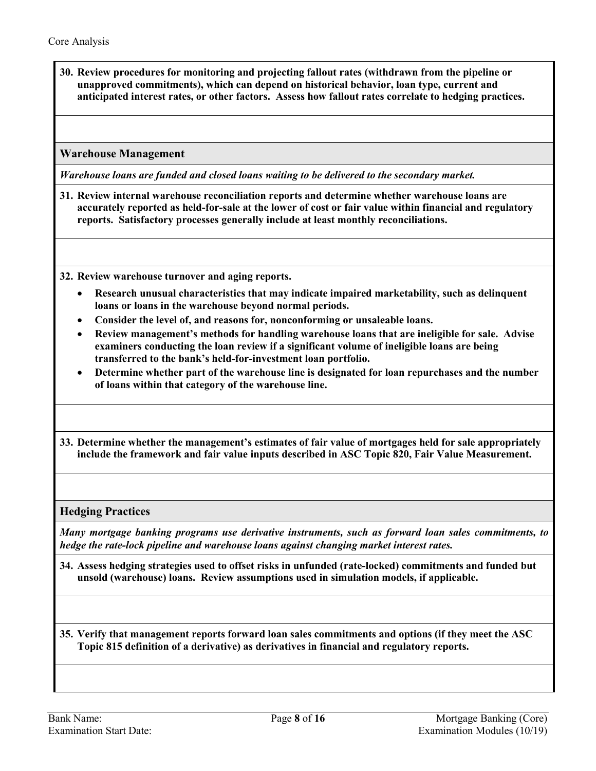<span id="page-7-0"></span>**30. Review procedures for monitoring and projecting fallout rates (withdrawn from the pipeline or unapproved commitments), which can depend on historical behavior, loan type, current and anticipated interest rates, or other factors. Assess how fallout rates correlate to hedging practices.** 

**Warehouse Management** 

*Warehouse loans are funded and closed loans waiting to be delivered to the secondary market.*

<span id="page-7-1"></span>**31. Review internal warehouse reconciliation reports and determine whether warehouse loans are accurately reported as held-for-sale at the lower of cost or fair value within financial and regulatory reports. Satisfactory processes generally include at least monthly reconciliations.**

<span id="page-7-4"></span>**32. Review warehouse turnover and aging reports.** 

- **Research unusual characteristics that may indicate impaired marketability, such as delinquent loans or loans in the warehouse beyond normal periods.**
- **Consider the level of, and reasons for, nonconforming or unsaleable loans.**
- **Review management's methods for handling warehouse loans that are ineligible for sale. Advise examiners conducting the loan review if a significant volume of ineligible loans are being transferred to the bank's held-for-investment loan portfolio.**
- **Determine whether part of the warehouse line is designated for loan repurchases and the number of loans within that category of the warehouse line.**
- **33. Determine whether the management's estimates of fair value of mortgages held for sale appropriately include the framework and fair value inputs described in ASC Topic 820, Fair Value Measurement.**

**Hedging Practices**

*Many mortgage banking programs use derivative instruments, such as forward loan sales commitments, to hedge the rate-lock pipeline and warehouse loans against changing market interest rates.*

<span id="page-7-3"></span>**34. Assess hedging strategies used to offset risks in unfunded (rate-locked) commitments and funded but unsold (warehouse) loans. Review assumptions used in simulation models, if applicable.** 

<span id="page-7-2"></span>**35. Verify that management reports forward loan sales commitments and options (if they meet the ASC Topic 815 definition of a derivative) as derivatives in financial and regulatory reports.**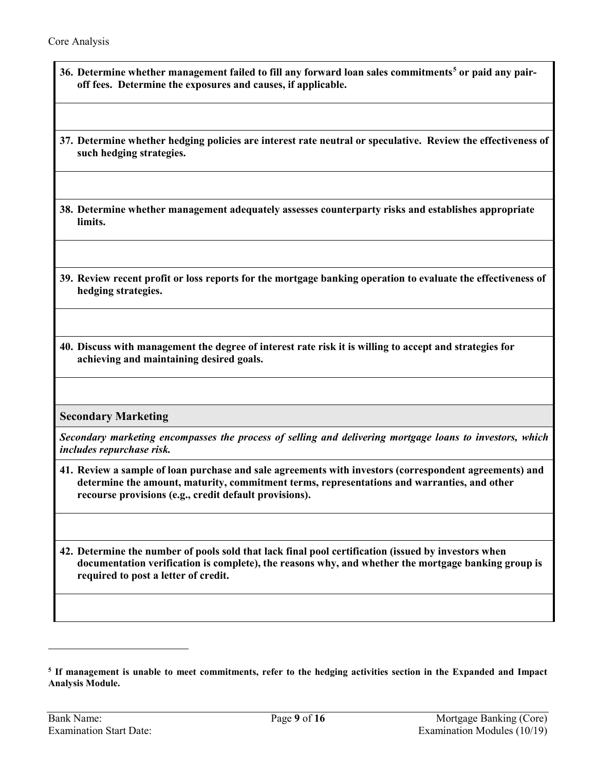- <span id="page-8-3"></span>**36. Determine whether management failed to fill any forward loan sales commitments[5](#page-8-5) or paid any pairoff fees. Determine the exposures and causes, if applicable.**
- <span id="page-8-2"></span>**37. Determine whether hedging policies are interest rate neutral or speculative. Review the effectiveness of such hedging strategies.**
- **38. Determine whether management adequately assesses counterparty risks and establishes appropriate limits.**
- <span id="page-8-4"></span>**39. Review recent profit or loss reports for the mortgage banking operation to evaluate the effectiveness of hedging strategies.**
- <span id="page-8-0"></span>**40. Discuss with management the degree of interest rate risk it is willing to accept and strategies for achieving and maintaining desired goals.**

**Secondary Marketing**

*Secondary marketing encompasses the process of selling and delivering mortgage loans to investors, which includes repurchase risk.*

**41. Review a sample of loan purchase and sale agreements with investors (correspondent agreements) and determine the amount, maturity, commitment terms, representations and warranties, and other recourse provisions (e.g., credit default provisions).** 

<span id="page-8-1"></span>**42. Determine the number of pools sold that lack final pool certification (issued by investors when documentation verification is complete), the reasons why, and whether the mortgage banking group is required to post a letter of credit.** 

<span id="page-8-5"></span>**<sup>5</sup> If management is unable to meet commitments, refer to the hedging activities section in the Expanded and Impact Analysis Module.**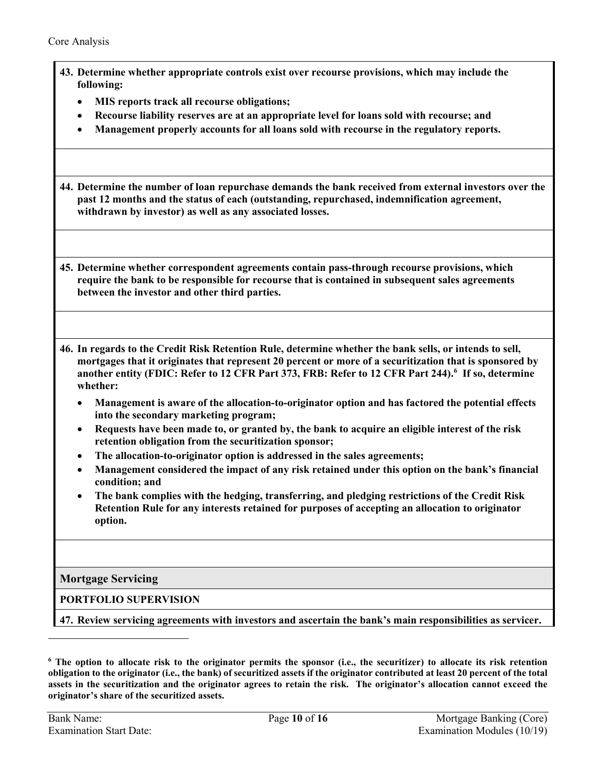<span id="page-9-1"></span><span id="page-9-0"></span>

|           | 43. Determine whether appropriate controls exist over recourse provisions, which may include the<br>following:                                                                                                                                                                                                                                  |
|-----------|-------------------------------------------------------------------------------------------------------------------------------------------------------------------------------------------------------------------------------------------------------------------------------------------------------------------------------------------------|
|           | MIS reports track all recourse obligations;<br>٠                                                                                                                                                                                                                                                                                                |
|           | Recourse liability reserves are at an appropriate level for loans sold with recourse; and<br>$\bullet$                                                                                                                                                                                                                                          |
| $\bullet$ | Management properly accounts for all loans sold with recourse in the regulatory reports.                                                                                                                                                                                                                                                        |
|           | 44. Determine the number of loan repurchase demands the bank received from external investors over the<br>past 12 months and the status of each (outstanding, repurchased, indemnification agreement,<br>withdrawn by investor) as well as any associated losses.                                                                               |
|           | 45. Determine whether correspondent agreements contain pass-through recourse provisions, which<br>require the bank to be responsible for recourse that is contained in subsequent sales agreements<br>between the investor and other third parties.                                                                                             |
|           | 46. In regards to the Credit Risk Retention Rule, determine whether the bank sells, or intends to sell,<br>mortgages that it originates that represent 20 percent or more of a securitization that is sponsored by<br>another entity (FDIC: Refer to 12 CFR Part 373, FRB: Refer to 12 CFR Part 244). <sup>6</sup> If so, determine<br>whether: |
|           | Management is aware of the allocation-to-originator option and has factored the potential effects<br>$\bullet$<br>into the secondary marketing program;                                                                                                                                                                                         |
|           | Requests have been made to, or granted by, the bank to acquire an eligible interest of the risk<br>$\bullet$<br>retention obligation from the securitization sponsor;                                                                                                                                                                           |
| ٠         | The allocation-to-originator option is addressed in the sales agreements;<br>Management considered the impact of any risk retained under this option on the bank's financial<br>$\bullet$<br>condition; and                                                                                                                                     |
|           | The bank complies with the hedging, transferring, and pledging restrictions of the Credit Risk<br>Retention Rule for any interests retained for purposes of accepting an allocation to originator<br>option.                                                                                                                                    |
|           | <b>Mortgage Servicing</b>                                                                                                                                                                                                                                                                                                                       |
|           | PORTFOLIO SUPERVISION                                                                                                                                                                                                                                                                                                                           |
|           | 47. Review servicing agreements with investors and ascertain the bank's main responsibilities as servicer.                                                                                                                                                                                                                                      |

<span id="page-9-2"></span>**<sup>6</sup> The option to allocate risk to the originator permits the sponsor (i.e., the securitizer) to allocate its risk retention obligation to the originator (i.e., the bank) of securitized assets if the originator contributed at least 20 percent of the total assets in the securitization and the originator agrees to retain the risk. The originator's allocation cannot exceed the originator's share of the securitized assets.**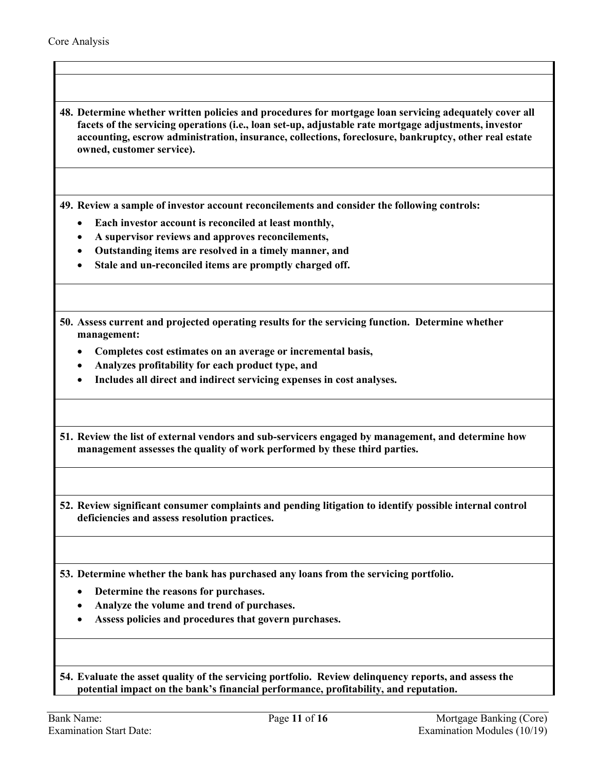<span id="page-10-0"></span>**48. Determine whether written policies and procedures for mortgage loan servicing adequately cover all facets of the servicing operations (i.e., loan set-up, adjustable rate mortgage adjustments, investor accounting, escrow administration, insurance, collections, foreclosure, bankruptcy, other real estate owned, customer service).** 

<span id="page-10-2"></span>**49. Review a sample of investor account reconcilements and consider the following controls:** 

- **Each investor account is reconciled at least monthly,**
- **A supervisor reviews and approves reconcilements,**
- **Outstanding items are resolved in a timely manner, and**
- **Stale and un-reconciled items are promptly charged off.**

<span id="page-10-4"></span>**50. Assess current and projected operating results for the servicing function. Determine whether management:** 

- **Completes cost estimates on an average or incremental basis,**
- **Analyzes profitability for each product type, and**
- **Includes all direct and indirect servicing expenses in cost analyses.**

<span id="page-10-3"></span>**51. Review the list of external vendors and sub-servicers engaged by management, and determine how management assesses the quality of work performed by these third parties.** 

**52. Review significant consumer complaints and pending litigation to identify possible internal control deficiencies and assess resolution practices.** 

<span id="page-10-1"></span>**53. Determine whether the bank has purchased any loans from the servicing portfolio.**

- **Determine the reasons for purchases.**
- **Analyze the volume and trend of purchases.**
- **Assess policies and procedures that govern purchases.**

<span id="page-10-5"></span>**54. Evaluate the asset quality of the servicing portfolio. Review delinquency reports, and assess the potential impact on the bank's financial performance, profitability, and reputation.**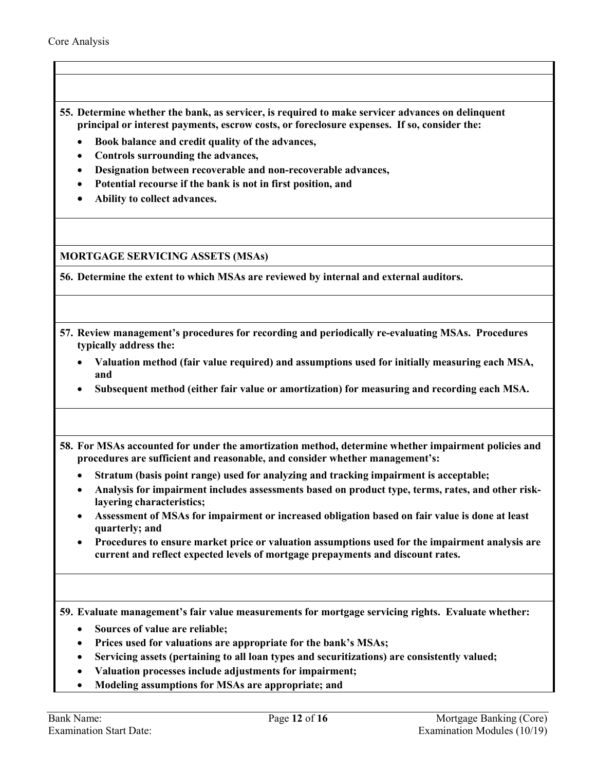- **55. Determine whether the bank, as servicer, is required to make servicer advances on delinquent principal or interest payments, escrow costs, or foreclosure expenses. If so, consider the:** 
	- **Book balance and credit quality of the advances,**
	- **Controls surrounding the advances,**
	- **Designation between recoverable and non-recoverable advances,**
	- **Potential recourse if the bank is not in first position, and**
	- **Ability to collect advances.**

**MORTGAGE SERVICING ASSETS (MSAs)**

<span id="page-11-1"></span>**56. Determine the extent to which MSAs are reviewed by internal and external auditors.**

- <span id="page-11-0"></span>**57. Review management's procedures for recording and periodically re-evaluating MSAs. Procedures typically address the:**
	- **Valuation method (fair value required) and assumptions used for initially measuring each MSA, and**
	- **Subsequent method (either fair value or amortization) for measuring and recording each MSA.**

**58. For MSAs accounted for under the amortization method, determine whether impairment policies and procedures are sufficient and reasonable, and consider whether management's:** 

- **Stratum (basis point range) used for analyzing and tracking impairment is acceptable;**
- **Analysis for impairment includes assessments based on product type, terms, rates, and other risklayering characteristics;**
- **Assessment of MSAs for impairment or increased obligation based on fair value is done at least quarterly; and**
- **Procedures to ensure market price or valuation assumptions used for the impairment analysis are current and reflect expected levels of mortgage prepayments and discount rates.**

**59. Evaluate management's fair value measurements for mortgage servicing rights. Evaluate whether:** 

- **Sources of value are reliable;**
- **Prices used for valuations are appropriate for the bank's MSAs;**
- **Servicing assets (pertaining to all loan types and securitizations) are consistently valued;**
- **Valuation processes include adjustments for impairment;**
- **Modeling assumptions for MSAs are appropriate; and**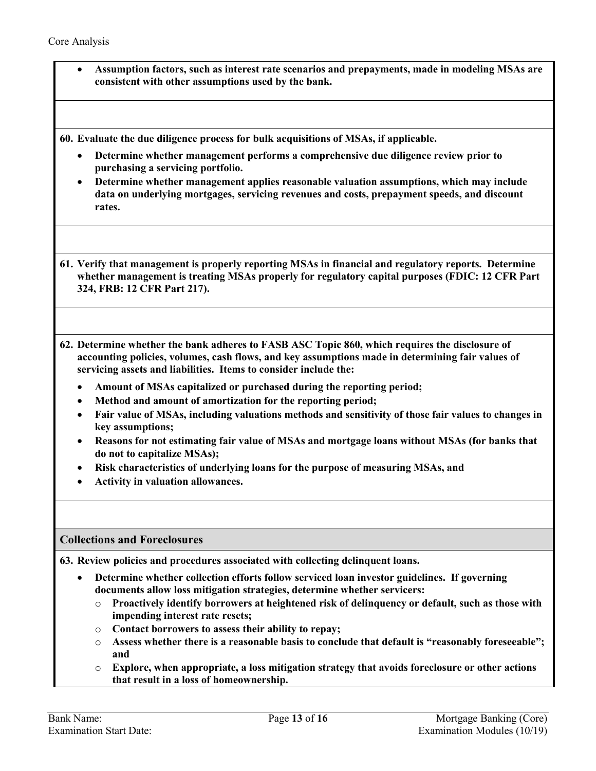• **Assumption factors, such as interest rate scenarios and prepayments, made in modeling MSAs are consistent with other assumptions used by the bank.**

<span id="page-12-1"></span>**60. Evaluate the due diligence process for bulk acquisitions of MSAs, if applicable.**

- **Determine whether management performs a comprehensive due diligence review prior to purchasing a servicing portfolio.**
- **Determine whether management applies reasonable valuation assumptions, which may include data on underlying mortgages, servicing revenues and costs, prepayment speeds, and discount rates.**

<span id="page-12-2"></span>**61. Verify that management is properly reporting MSAs in financial and regulatory reports. Determine whether management is treating MSAs properly for regulatory capital purposes (FDIC: 12 CFR Part 324, FRB: 12 CFR Part 217).** 

**62. Determine whether the bank adheres to FASB ASC Topic 860, which requires the disclosure of accounting policies, volumes, cash flows, and key assumptions made in determining fair values of servicing assets and liabilities. Items to consider include the:** 

- **Amount of MSAs capitalized or purchased during the reporting period;**
- **Method and amount of amortization for the reporting period;**
- **Fair value of MSAs, including valuations methods and sensitivity of those fair values to changes in key assumptions;**
- **Reasons for not estimating fair value of MSAs and mortgage loans without MSAs (for banks that do not to capitalize MSAs);**
- **Risk characteristics of underlying loans for the purpose of measuring MSAs, and**
- **Activity in valuation allowances.**

#### **Collections and Foreclosures**

<span id="page-12-0"></span>**63. Review policies and procedures associated with collecting delinquent loans.**

- **Determine whether collection efforts follow serviced loan investor guidelines. If governing documents allow loss mitigation strategies, determine whether servicers:** 
	- o **Proactively identify borrowers at heightened risk of delinquency or default, such as those with impending interest rate resets;**
	- o **Contact borrowers to assess their ability to repay;**
	- o **Assess whether there is a reasonable basis to conclude that default is "reasonably foreseeable"; and**
	- o **Explore, when appropriate, a loss mitigation strategy that avoids foreclosure or other actions that result in a loss of homeownership.**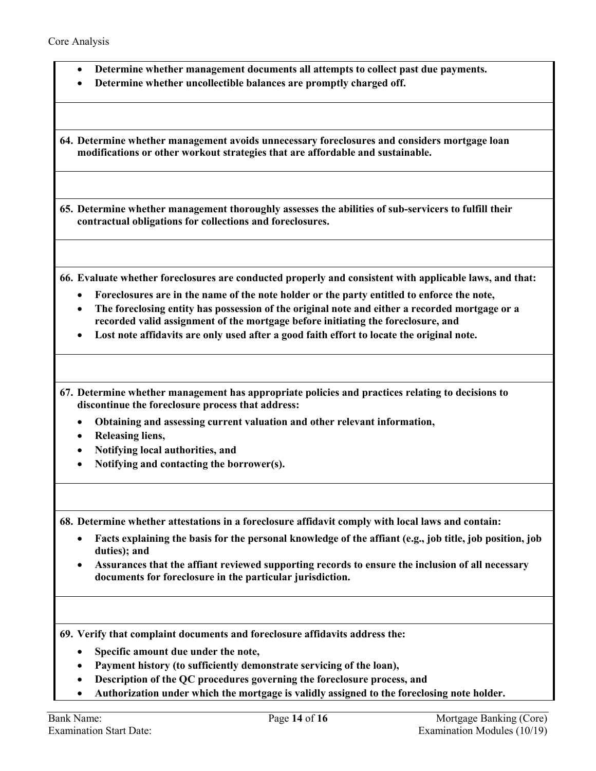- **Determine whether management documents all attempts to collect past due payments.**
- **Determine whether uncollectible balances are promptly charged off.**

**64. Determine whether management avoids unnecessary foreclosures and considers mortgage loan modifications or other workout strategies that are affordable and sustainable.** 

<span id="page-13-1"></span>**65. Determine whether management thoroughly assesses the abilities of sub-servicers to fulfill their contractual obligations for collections and foreclosures.**

**66. Evaluate whether foreclosures are conducted properly and consistent with applicable laws, and that:**

- **Foreclosures are in the name of the note holder or the party entitled to enforce the note,**
- **The foreclosing entity has possession of the original note and either a recorded mortgage or a recorded valid assignment of the mortgage before initiating the foreclosure, and**
- **Lost note affidavits are only used after a good faith effort to locate the original note.**

<span id="page-13-0"></span>**67. Determine whether management has appropriate policies and practices relating to decisions to discontinue the foreclosure process that address:**

- **Obtaining and assessing current valuation and other relevant information,**
- **Releasing liens,**
- **Notifying local authorities, and**
- **Notifying and contacting the borrower(s).**

**68. Determine whether attestations in a foreclosure affidavit comply with local laws and contain:**

- **Facts explaining the basis for the personal knowledge of the affiant (e.g., job title, job position, job duties); and**
- **Assurances that the affiant reviewed supporting records to ensure the inclusion of all necessary documents for foreclosure in the particular jurisdiction.**

**69. Verify that complaint documents and foreclosure affidavits address the:** 

- **Specific amount due under the note,**
- **Payment history (to sufficiently demonstrate servicing of the loan),**
- **Description of the QC procedures governing the foreclosure process, and**
- **Authorization under which the mortgage is validly assigned to the foreclosing note holder.**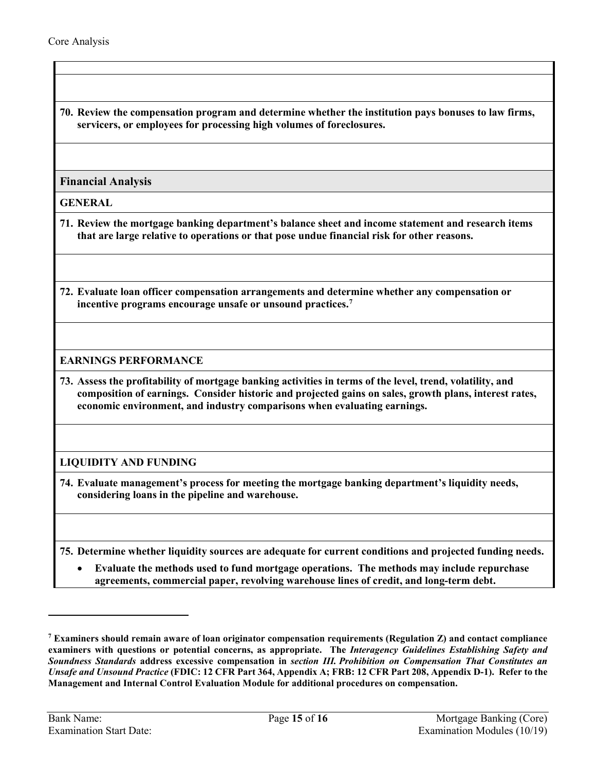**70. Review the compensation program and determine whether the institution pays bonuses to law firms, servicers, or employees for processing high volumes of foreclosures.**

### **Financial Analysis**

**GENERAL**

- <span id="page-14-1"></span>**71. Review the mortgage banking department's balance sheet and income statement and research items that are large relative to operations or that pose undue financial risk for other reasons.**
- <span id="page-14-0"></span>**72. Evaluate loan officer compensation arrangements and determine whether any compensation or incentive programs encourage unsafe or unsound practices. [7](#page-14-3)**

#### **EARNINGS PERFORMANCE**

<span id="page-14-2"></span>**73. Assess the profitability of mortgage banking activities in terms of the level, trend, volatility, and composition of earnings. Consider historic and projected gains on sales, growth plans, interest rates, economic environment, and industry comparisons when evaluating earnings.**

## **LIQUIDITY AND FUNDING**

**74. Evaluate management's process for meeting the mortgage banking department's liquidity needs, considering loans in the pipeline and warehouse.**

**75. Determine whether liquidity sources are adequate for current conditions and projected funding needs.**

• **Evaluate the methods used to fund mortgage operations. The methods may include repurchase agreements, commercial paper, revolving warehouse lines of credit, and long-term debt.**

<span id="page-14-3"></span>**<sup>7</sup> Examiners should remain aware of loan originator compensation requirements (Regulation Z) and contact compliance examiners with questions or potential concerns, as appropriate. The** *Interagency Guidelines Establishing Safety and Soundness Standards* **address excessive compensation in** *section III. Prohibition on Compensation That Constitutes an Unsafe and Unsound Practice* **(FDIC: 12 CFR Part 364, Appendix A; FRB: 12 CFR Part 208, Appendix D-1). Refer to the Management and Internal Control Evaluation Module for additional procedures on compensation.**